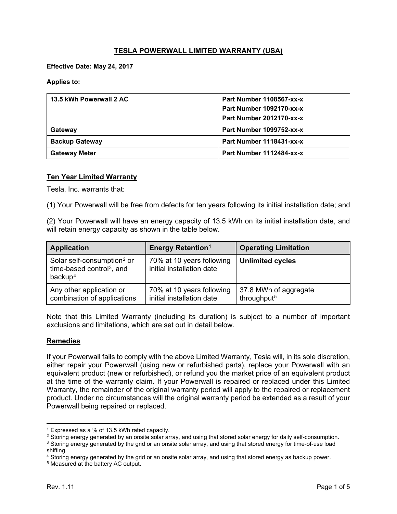# **TESLA POWERWALL LIMITED WARRANTY (USA)**

**Effective Date: May 24, 2017**

**Applies to:**

| 13.5 kWh Powerwall 2 AC | Part Number 1108567-xx-x |  |
|-------------------------|--------------------------|--|
|                         | Part Number 1092170-xx-x |  |
|                         | Part Number 2012170-xx-x |  |
| Gateway                 | Part Number 1099752-xx-x |  |
| <b>Backup Gateway</b>   | Part Number 1118431-xx-x |  |
| <b>Gateway Meter</b>    | Part Number 1112484-xx-x |  |

### **Ten Year Limited Warranty**

Tesla, Inc. warrants that:

(1) Your Powerwall will be free from defects for ten years following its initial installation date; and

(2) Your Powerwall will have an energy capacity of 13.5 kWh on its initial installation date, and will retain energy capacity as shown in the table below.

| <b>Application</b>                                                                                     | <b>Energy Retention<sup>1</sup></b>                    | <b>Operating Limitation</b>                      |
|--------------------------------------------------------------------------------------------------------|--------------------------------------------------------|--------------------------------------------------|
| Solar self-consumption <sup>2</sup> or<br>time-based control <sup>3</sup> , and<br>backup <sup>4</sup> | 70% at 10 years following<br>initial installation date | <b>Unlimited cycles</b>                          |
| Any other application or<br>combination of applications                                                | 70% at 10 years following<br>initial installation date | 37.8 MWh of aggregate<br>throughput <sup>5</sup> |

Note that this Limited Warranty (including its duration) is subject to a number of important exclusions and limitations, which are set out in detail below.

### **Remedies**

If your Powerwall fails to comply with the above Limited Warranty, Tesla will, in its sole discretion, either repair your Powerwall (using new or refurbished parts), replace your Powerwall with an equivalent product (new or refurbished), or refund you the market price of an equivalent product at the time of the warranty claim. If your Powerwall is repaired or replaced under this Limited Warranty, the remainder of the original warranty period will apply to the repaired or replacement product. Under no circumstances will the original warranty period be extended as a result of your Powerwall being repaired or replaced.

 $\overline{\phantom{a}}$ <sup>1</sup> Expressed as a % of 13.5 kWh rated capacity.

<span id="page-0-1"></span><span id="page-0-0"></span><sup>&</sup>lt;sup>2</sup> Storing energy generated by an onsite solar array, and using that stored solar energy for daily self-consumption.

<span id="page-0-2"></span><sup>3</sup> Storing energy generated by the grid or an onsite solar array, and using that stored energy for time-of-use load shifting.

<span id="page-0-3"></span><sup>4</sup> Storing energy generated by the grid or an onsite solar array, and using that stored energy as backup power.

<span id="page-0-4"></span><sup>5</sup> Measured at the battery AC output.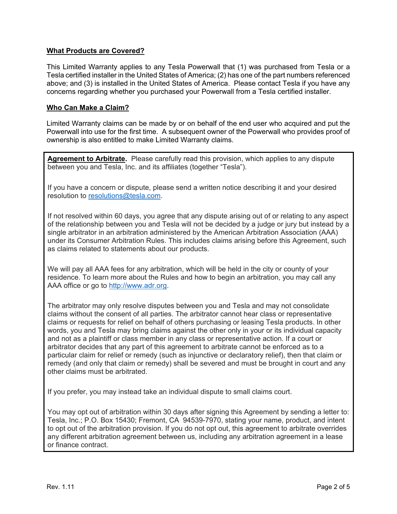# **What Products are Covered?**

This Limited Warranty applies to any Tesla Powerwall that (1) was purchased from Tesla or a Tesla certified installer in the United States of America; (2) has one of the part numbers referenced above; and (3) is installed in the United States of America. Please contact Tesla if you have any concerns regarding whether you purchased your Powerwall from a Tesla certified installer.

### **Who Can Make a Claim?**

Limited Warranty claims can be made by or on behalf of the end user who acquired and put the Powerwall into use for the first time. A subsequent owner of the Powerwall who provides proof of ownership is also entitled to make Limited Warranty claims.

**Agreement to Arbitrate.** Please carefully read this provision, which applies to any dispute between you and Tesla, Inc. and its affiliates (together "Tesla").

If you have a concern or dispute, please send a written notice describing it and your desired resolution to resolutions@tesla.com.

If not resolved within 60 days, you agree that any dispute arising out of or relating to any aspect of the relationship between you and Tesla will not be decided by a judge or jury but instead by a single arbitrator in an arbitration administered by the American Arbitration Association (AAA) under its Consumer Arbitration Rules. This includes claims arising before this Agreement, such as claims related to statements about our products.

We will pay all AAA fees for any arbitration, which will be held in the city or county of your residence. To learn more about the Rules and how to begin an arbitration, you may call any AAA office or go to [http://www.adr.org.](http://www.adr.org/)

The arbitrator may only resolve disputes between you and Tesla and may not consolidate claims without the consent of all parties. The arbitrator cannot hear class or representative claims or requests for relief on behalf of others purchasing or leasing Tesla products. In other words, you and Tesla may bring claims against the other only in your or its individual capacity and not as a plaintiff or class member in any class or representative action. If a court or arbitrator decides that any part of this agreement to arbitrate cannot be enforced as to a particular claim for relief or remedy (such as injunctive or declaratory relief), then that claim or remedy (and only that claim or remedy) shall be severed and must be brought in court and any other claims must be arbitrated.

If you prefer, you may instead take an individual dispute to small claims court.

You may opt out of arbitration within 30 days after signing this Agreement by sending a letter to: Tesla, Inc.; P.O. Box 15430; Fremont, CA 94539-7970, stating your name, product, and intent to opt out of the arbitration provision. If you do not opt out, this agreement to arbitrate overrides any different arbitration agreement between us, including any arbitration agreement in a lease or finance contract.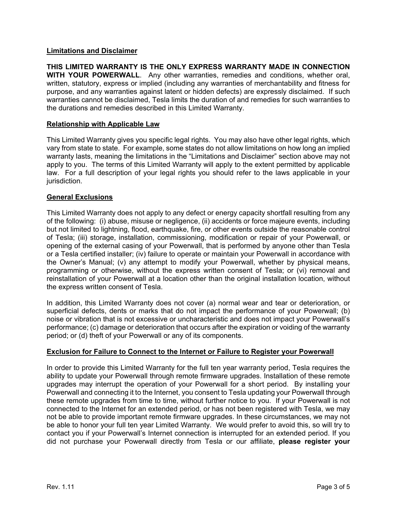# **Limitations and Disclaimer**

**THIS LIMITED WARRANTY IS THE ONLY EXPRESS WARRANTY MADE IN CONNECTION WITH YOUR POWERWALL**. Any other warranties, remedies and conditions, whether oral, written, statutory, express or implied (including any warranties of merchantability and fitness for purpose, and any warranties against latent or hidden defects) are expressly disclaimed. If such warranties cannot be disclaimed, Tesla limits the duration of and remedies for such warranties to the durations and remedies described in this Limited Warranty.

### **Relationship with Applicable Law**

This Limited Warranty gives you specific legal rights. You may also have other legal rights, which vary from state to state. For example, some states do not allow limitations on how long an implied warranty lasts, meaning the limitations in the "Limitations and Disclaimer" section above may not apply to you. The terms of this Limited Warranty will apply to the extent permitted by applicable law. For a full description of your legal rights you should refer to the laws applicable in your jurisdiction.

### **General Exclusions**

This Limited Warranty does not apply to any defect or energy capacity shortfall resulting from any of the following: (i) abuse, misuse or negligence, (ii) accidents or force majeure events, including but not limited to lightning, flood, earthquake, fire, or other events outside the reasonable control of Tesla; (iii) storage, installation, commissioning, modification or repair of your Powerwall, or opening of the external casing of your Powerwall, that is performed by anyone other than Tesla or a Tesla certified installer; (iv) failure to operate or maintain your Powerwall in accordance with the Owner's Manual; (v) any attempt to modify your Powerwall, whether by physical means, programming or otherwise, without the express written consent of Tesla; or (vi) removal and reinstallation of your Powerwall at a location other than the original installation location, without the express written consent of Tesla.

In addition, this Limited Warranty does not cover (a) normal wear and tear or deterioration, or superficial defects, dents or marks that do not impact the performance of your Powerwall; (b) noise or vibration that is not excessive or uncharacteristic and does not impact your Powerwall's performance; (c) damage or deterioration that occurs after the expiration or voiding of the warranty period; or (d) theft of your Powerwall or any of its components.

# **Exclusion for Failure to Connect to the Internet or Failure to Register your Powerwall**

In order to provide this Limited Warranty for the full ten year warranty period, Tesla requires the ability to update your Powerwall through remote firmware upgrades. Installation of these remote upgrades may interrupt the operation of your Powerwall for a short period. By installing your Powerwall and connecting it to the Internet, you consent to Tesla updating your Powerwall through these remote upgrades from time to time, without further notice to you. If your Powerwall is not connected to the Internet for an extended period, or has not been registered with Tesla, we may not be able to provide important remote firmware upgrades. In these circumstances, we may not be able to honor your full ten year Limited Warranty. We would prefer to avoid this, so will try to contact you if your Powerwall's Internet connection is interrupted for an extended period. If you did not purchase your Powerwall directly from Tesla or our affiliate, **please register your**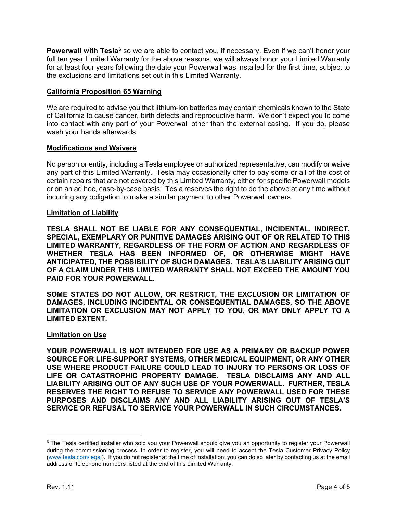**Powerwall with Tesla<sup>[6](#page-3-0)</sup>** so we are able to contact you, if necessary. Even if we can't honor your full ten year Limited Warranty for the above reasons, we will always honor your Limited Warranty for at least four years following the date your Powerwall was installed for the first time, subject to the exclusions and limitations set out in this Limited Warranty.

# **California Proposition 65 Warning**

We are required to advise you that lithium-ion batteries may contain chemicals known to the State of California to cause cancer, birth defects and reproductive harm. We don't expect you to come into contact with any part of your Powerwall other than the external casing. If you do, please wash your hands afterwards.

## **Modifications and Waivers**

No person or entity, including a Tesla employee or authorized representative, can modify or waive any part of this Limited Warranty. Tesla may occasionally offer to pay some or all of the cost of certain repairs that are not covered by this Limited Warranty, either for specific Powerwall models or on an ad hoc, case-by-case basis. Tesla reserves the right to do the above at any time without incurring any obligation to make a similar payment to other Powerwall owners.

### **Limitation of Liability**

**TESLA SHALL NOT BE LIABLE FOR ANY CONSEQUENTIAL, INCIDENTAL, INDIRECT, SPECIAL, EXEMPLARY OR PUNITIVE DAMAGES ARISING OUT OF OR RELATED TO THIS LIMITED WARRANTY, REGARDLESS OF THE FORM OF ACTION AND REGARDLESS OF WHETHER TESLA HAS BEEN INFORMED OF, OR OTHERWISE MIGHT HAVE ANTICIPATED, THE POSSIBILITY OF SUCH DAMAGES. TESLA'S LIABILITY ARISING OUT OF A CLAIM UNDER THIS LIMITED WARRANTY SHALL NOT EXCEED THE AMOUNT YOU PAID FOR YOUR POWERWALL.**

**SOME STATES DO NOT ALLOW, OR RESTRICT, THE EXCLUSION OR LIMITATION OF DAMAGES, INCLUDING INCIDENTAL OR CONSEQUENTIAL DAMAGES, SO THE ABOVE LIMITATION OR EXCLUSION MAY NOT APPLY TO YOU, OR MAY ONLY APPLY TO A LIMITED EXTENT.**

### **Limitation on Use**

**YOUR POWERWALL IS NOT INTENDED FOR USE AS A PRIMARY OR BACKUP POWER SOURCE FOR LIFE-SUPPORT SYSTEMS, OTHER MEDICAL EQUIPMENT, OR ANY OTHER USE WHERE PRODUCT FAILURE COULD LEAD TO INJURY TO PERSONS OR LOSS OF LIFE OR CATASTROPHIC PROPERTY DAMAGE. TESLA DISCLAIMS ANY AND ALL LIABILITY ARISING OUT OF ANY SUCH USE OF YOUR POWERWALL. FURTHER, TESLA RESERVES THE RIGHT TO REFUSE TO SERVICE ANY POWERWALL USED FOR THESE PURPOSES AND DISCLAIMS ANY AND ALL LIABILITY ARISING OUT OF TESLA'S SERVICE OR REFUSAL TO SERVICE YOUR POWERWALL IN SUCH CIRCUMSTANCES.**

<span id="page-3-0"></span><sup>&</sup>lt;sup>6</sup> The Tesla certified installer who sold you your Powerwall should give you an opportunity to register your Powerwall during the commissioning process. In order to register, you will need to accept the Tesla Customer Privacy Policy [\(www.tesla.com/legal\)](https://www.tesla.com/legal). If you do not register at the time of installation, you can do so later by contacting us at the email address or telephone numbers listed at the end of this Limited Warranty.